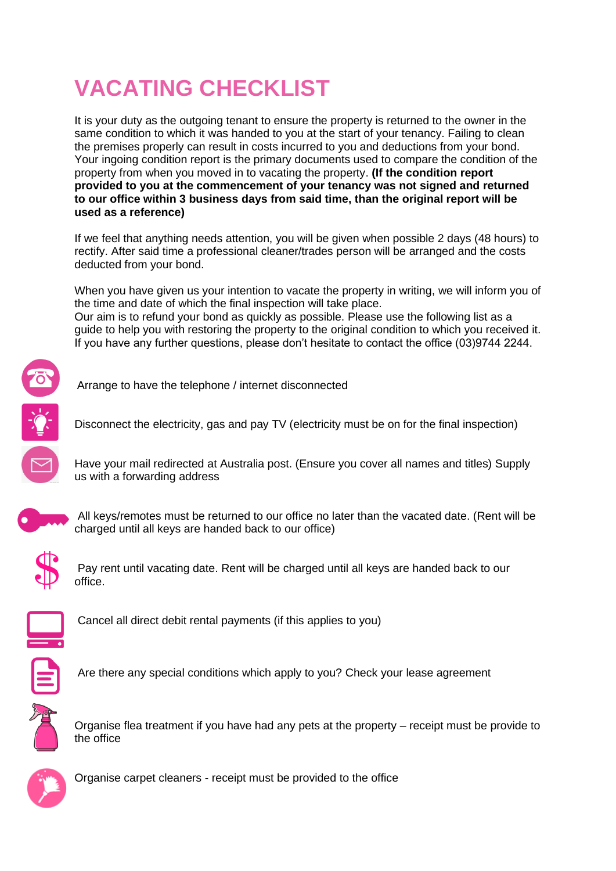# **VACATING CHECKLIST**

It is your duty as the outgoing tenant to ensure the property is returned to the owner in the same condition to which it was handed to you at the start of your tenancy. Failing to clean the premises properly can result in costs incurred to you and deductions from your bond. Your ingoing condition report is the primary documents used to compare the condition of the property from when you moved in to vacating the property. **(If the condition report provided to you at the commencement of your tenancy was not signed and returned to our office within 3 business days from said time, than the original report will be used as a reference)**

If we feel that anything needs attention, you will be given when possible 2 days (48 hours) to rectify. After said time a professional cleaner/trades person will be arranged and the costs deducted from your bond.

When you have given us your intention to vacate the property in writing, we will inform you of the time and date of which the final inspection will take place. Our aim is to refund your bond as quickly as possible. Please use the following list as a guide to help you with restoring the property to the original condition to which you received it. If you have any further questions, please don't hesitate to contact the office (03)9744 2244.



Arrange to have the telephone / internet disconnected

Disconnect the electricity, gas and pay TV (electricity must be on for the final inspection)

Have your mail redirected at Australia post. (Ensure you cover all names and titles) Supply us with a forwarding address



All keys/remotes must be returned to our office no later than the vacated date. (Rent will be charged until all keys are handed back to our office)



Pay rent until vacating date. Rent will be charged until all keys are handed back to our office.



Cancel all direct debit rental payments (if this applies to you)



Are there any special conditions which apply to you? Check your lease agreement



Organise flea treatment if you have had any pets at the property – receipt must be provide to the office



Organise carpet cleaners - receipt must be provided to the office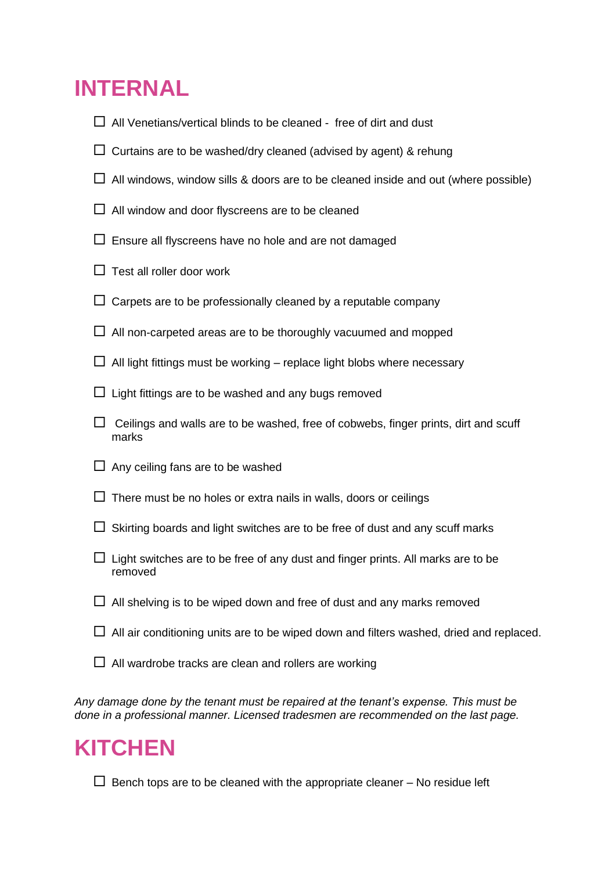## **INTERNAL**

- $\Box$  All Venetians/vertical blinds to be cleaned free of dirt and dust
- $\Box$  Curtains are to be washed/dry cleaned (advised by agent) & rehung
- $\Box$  All windows, window sills & doors are to be cleaned inside and out (where possible)
- $\Box$  All window and door flyscreens are to be cleaned
- $\Box$  Ensure all flyscreens have no hole and are not damaged
- $\Box$  Test all roller door work
- $\Box$  Carpets are to be professionally cleaned by a reputable company
- $\Box$  All non-carpeted areas are to be thoroughly vacuumed and mopped
- $\Box$  All light fittings must be working replace light blobs where necessary
- $\Box$  Light fittings are to be washed and any bugs removed
- $\Box$  Ceilings and walls are to be washed, free of cobwebs, finger prints, dirt and scuff marks
- $\Box$  Any ceiling fans are to be washed
- $\Box$  There must be no holes or extra nails in walls, doors or ceilings
- $\Box$  Skirting boards and light switches are to be free of dust and any scuff marks
- $\Box$  Light switches are to be free of any dust and finger prints. All marks are to be removed
- $\Box$  All shelving is to be wiped down and free of dust and any marks removed
- $\Box$  All air conditioning units are to be wiped down and filters washed, dried and replaced.
- $\Box$  All wardrobe tracks are clean and rollers are working

*Any damage done by the tenant must be repaired at the tenant's expense. This must be done in a professional manner. Licensed tradesmen are recommended on the last page.*

### **KITCHEN**

 $\Box$  Bench tops are to be cleaned with the appropriate cleaner – No residue left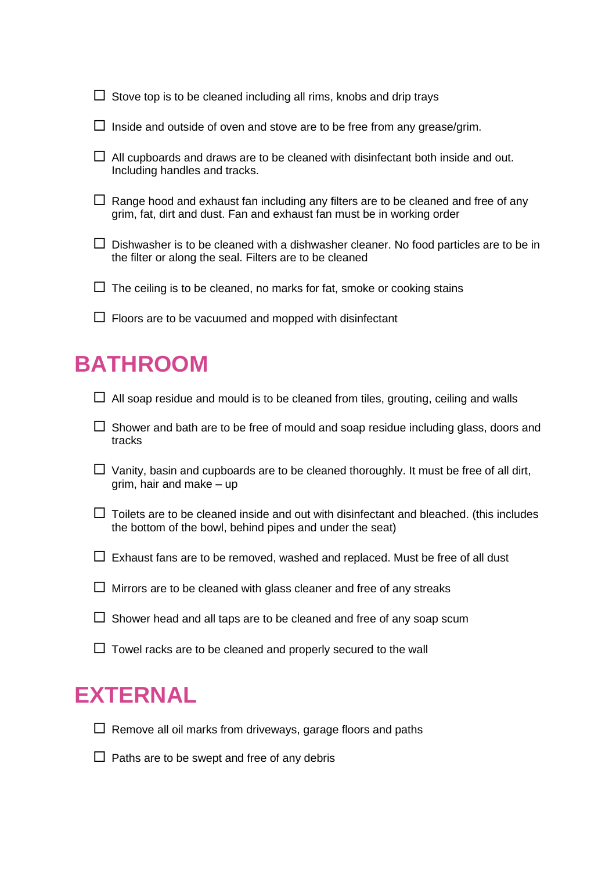$\Box$  Stove top is to be cleaned including all rims, knobs and drip trays

- $\square$  Inside and outside of oven and stove are to be free from any grease/grim.
- $\Box$  All cupboards and draws are to be cleaned with disinfectant both inside and out. Including handles and tracks.
- $\Box$  Range hood and exhaust fan including any filters are to be cleaned and free of any grim, fat, dirt and dust. Fan and exhaust fan must be in working order
- $\square$  Dishwasher is to be cleaned with a dishwasher cleaner. No food particles are to be in the filter or along the seal. Filters are to be cleaned
- $\Box$  The ceiling is to be cleaned, no marks for fat, smoke or cooking stains
- $\Box$  Floors are to be vacuumed and mopped with disinfectant

## **BATHROOM**

- $\Box$  All soap residue and mould is to be cleaned from tiles, grouting, ceiling and walls
- $\Box$  Shower and bath are to be free of mould and soap residue including glass, doors and tracks
- $\Box$  Vanity, basin and cupboards are to be cleaned thoroughly. It must be free of all dirt,  $arim.$  hair and make – up
- $\Box$  Toilets are to be cleaned inside and out with disinfectant and bleached. (this includes the bottom of the bowl, behind pipes and under the seat)
- $\Box$  Exhaust fans are to be removed, washed and replaced. Must be free of all dust
- $\Box$  Mirrors are to be cleaned with glass cleaner and free of any streaks
- $\Box$  Shower head and all taps are to be cleaned and free of any soap scum
- $\Box$  Towel racks are to be cleaned and properly secured to the wall

#### **EXTERNAL**

- $\Box$  Remove all oil marks from driveways, garage floors and paths
- $\Box$  Paths are to be swept and free of any debris